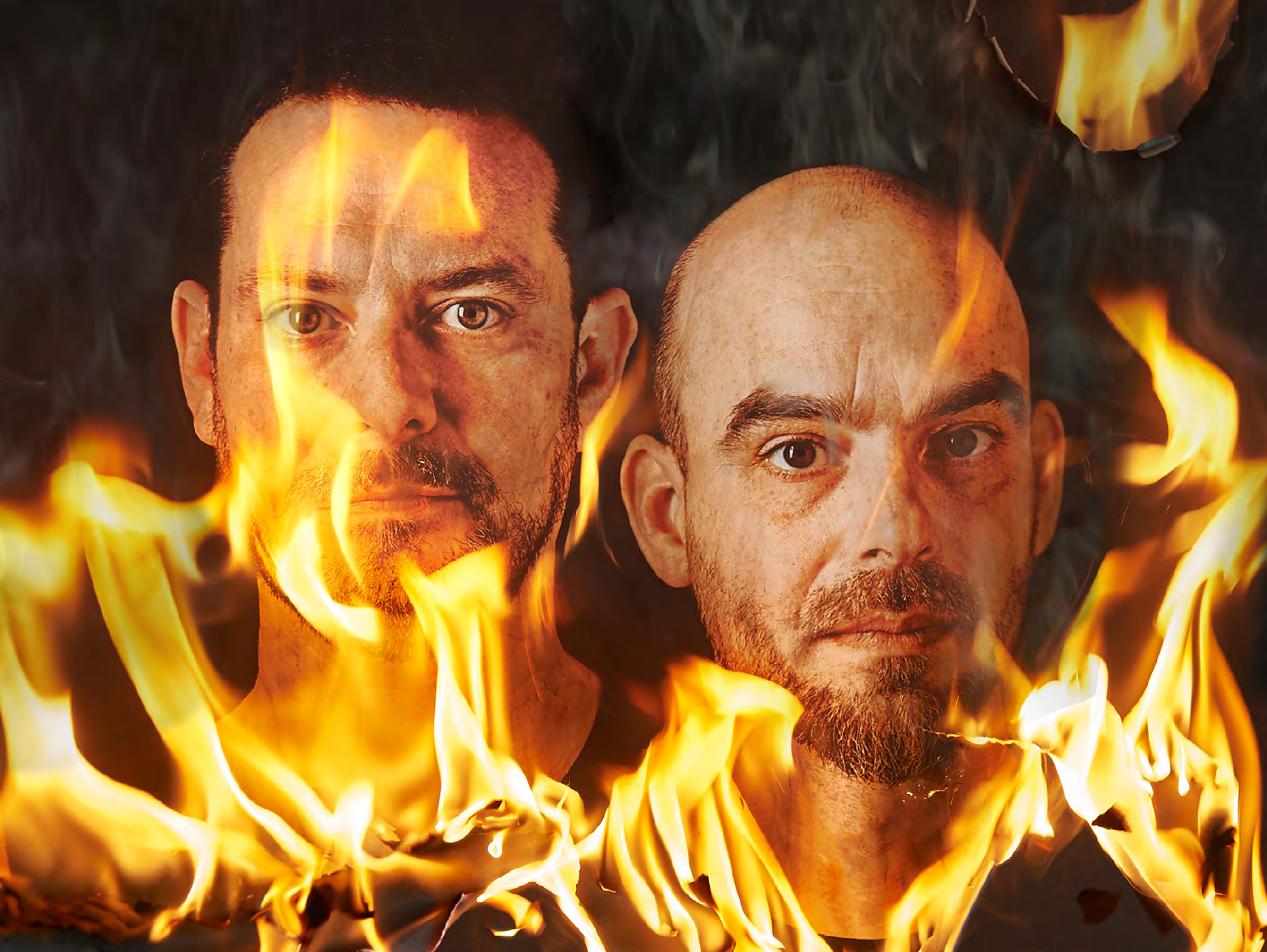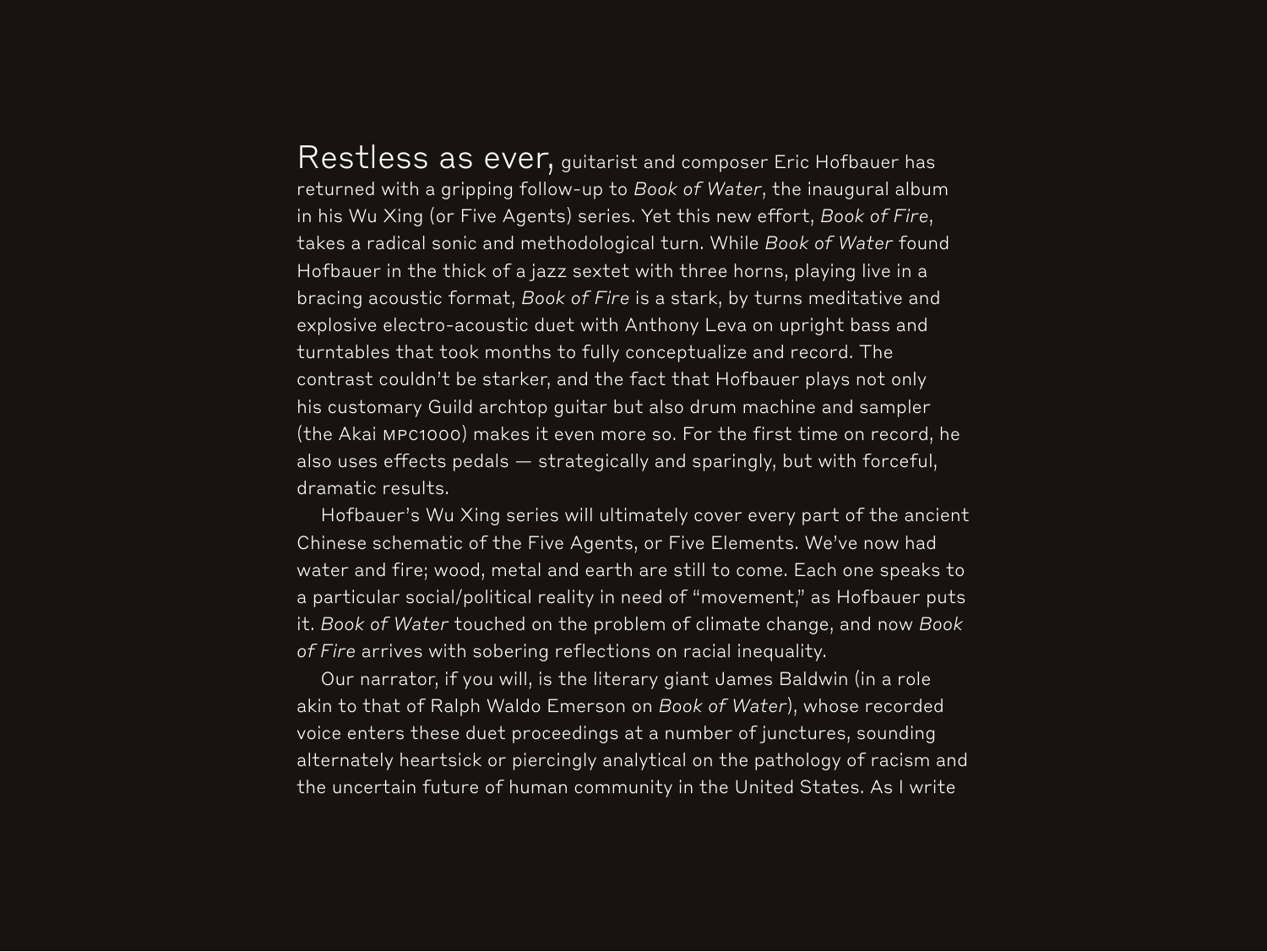Restless as ever, guitarist and composer Eric Hofbauer has returned with a gripping follow-up to *Book of Water*, the inaugural album in his Wu Xing (or Five Agents) series. Yet this new effort, *Book of Fire*, takes a radical sonic and methodological turn. While *Book of Water* found Hofbauer in the thick of a jazz sextet with three horns, playing live in a bracing acoustic format, *Book of Fire* is a stark, by turns meditative and explosive electro-acoustic duet with Anthony Leva on upright bass and turntables that took months to fully conceptualize and record. The contrast couldn't be starker, and the fact that Hofbauer plays not only his customary Guild archtop guitar but also drum machine and sampler (the Akai MPC1000) makes it even more so. For the first time on record, he also uses effects pedals — strategically and sparingly, but with forceful, dramatic results.

Hofbauer's Wu Xing series will ultimately cover every part of the ancient Chinese schematic of the Five Agents, or Five Elements. We've now had water and fire; wood, metal and earth are still to come. Each one speaks to a particular social/political reality in need of "movement," as Hofbauer puts it. *Book of Water* touched on the problem of climate change, and now *Book of Fire* arrives with sobering reflections on racial inequality.

Our narrator, if you will, is the literary giant James Baldwin (in a role akin to that of Ralph Waldo Emerson on *Book of Water*), whose recorded voice enters these duet proceedings at a number of junctures, sounding alternately heartsick or piercingly analytical on the pathology of racism and the uncertain future of human community in the United States. As I write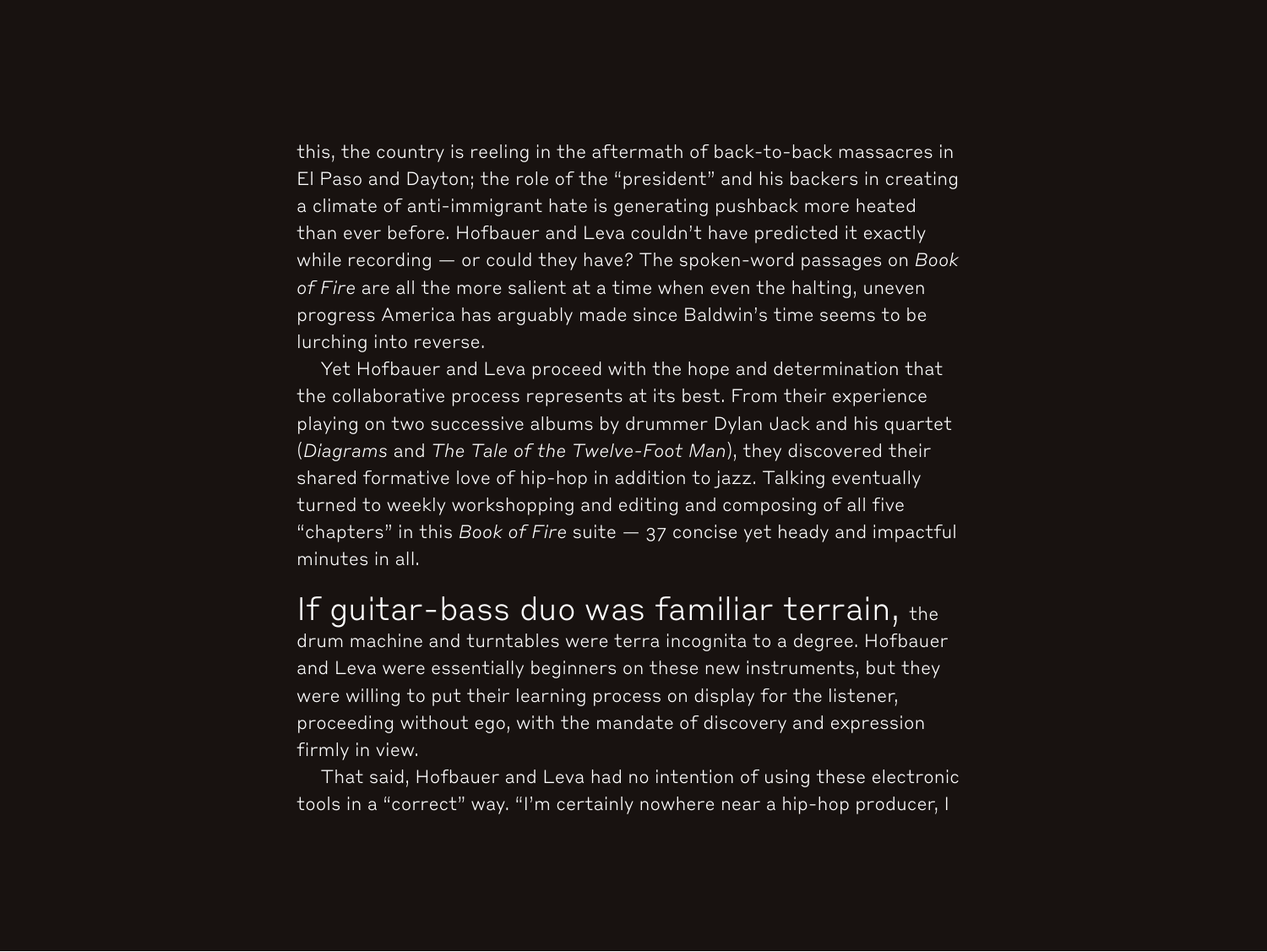this, the country is reeling in the aftermath of back-to-back massacres in El Paso and Dayton; the role of the "president" and his backers in creating a climate of anti-immigrant hate is generating pushback more heated than ever before. Hofbauer and Leva couldn't have predicted it exactly while recording — or could they have? The spoken-word passages on *Book of Fire* are all the more salient at a time when even the halting, uneven progress America has arguably made since Baldwin's time seems to be lurching into reverse.

Yet Hofbauer and Leva proceed with the hope and determination that the collaborative process represents at its best. From their experience playing on two successive albums by drummer Dylan Jack and his quartet (*Diagrams* and *The Tale of the Twelve-Foot Man*), they discovered their shared formative love of hip-hop in addition to jazz. Talking eventually turned to weekly workshopping and editing and composing of all five "chapters" in this *Book of Fire* suite — 37 concise yet heady and impactful minutes in all.

## If guitar-bass duo was familiar terrain, the

drum machine and turntables were terra incognita to a degree. Hofbauer and Leva were essentially beginners on these new instruments, but they were willing to put their learning process on display for the listener, proceeding without ego, with the mandate of discovery and expression firmly in view.

That said, Hofbauer and Leva had no intention of using these electronic tools in a "correct" way. "I'm certainly nowhere near a hip-hop producer, I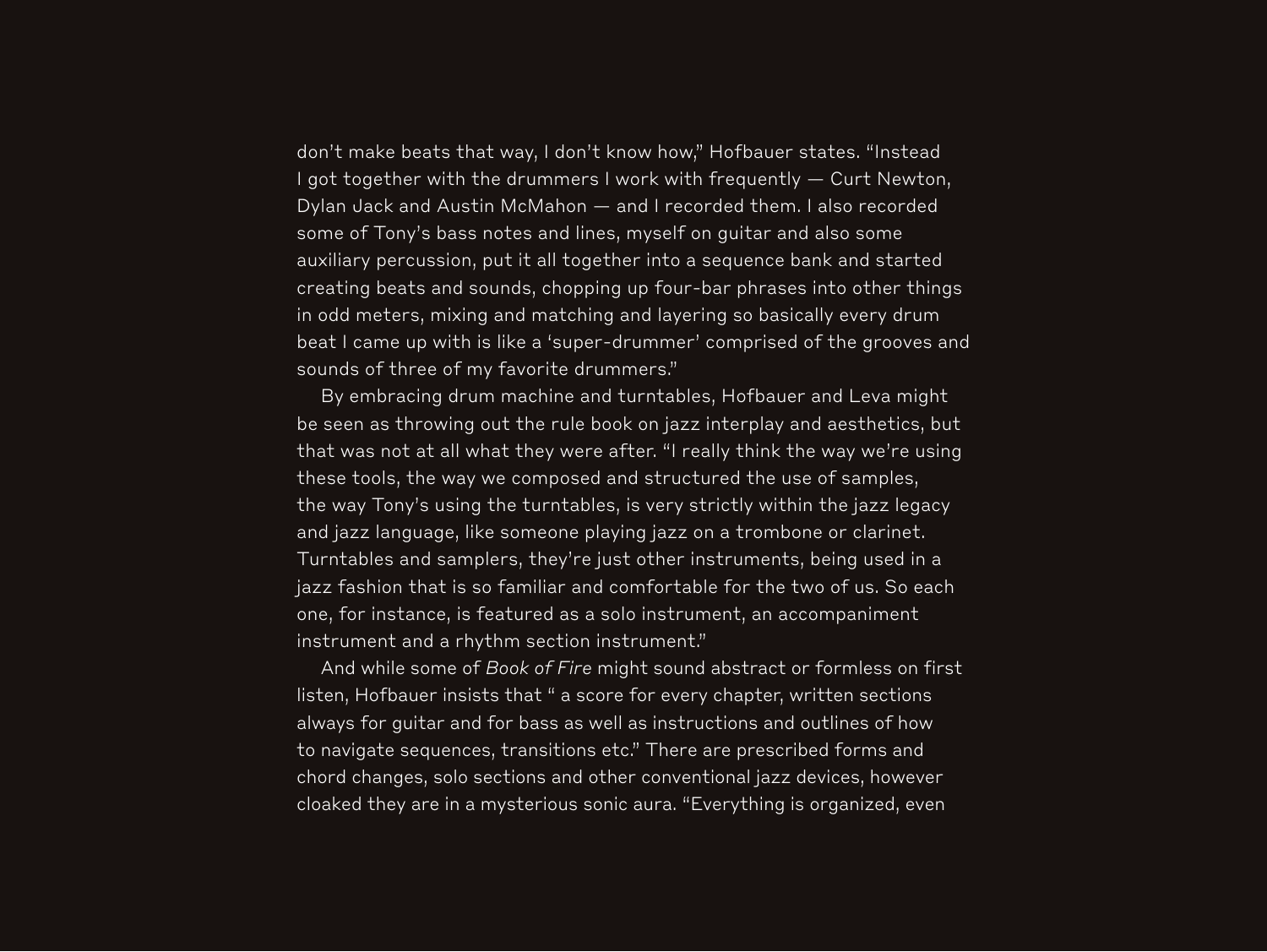don't make beats that way, I don't know how," Hofbauer states. "Instead I got together with the drummers I work with frequently — Curt Newton, Dylan Jack and Austin McMahon — and I recorded them. I also recorded some of Tony's bass notes and lines, myself on guitar and also some auxiliary percussion, put it all together into a sequence bank and started creating beats and sounds, chopping up four-bar phrases into other things in odd meters, mixing and matching and layering so basically every drum beat I came up with is like a 'super-drummer' comprised of the grooves and sounds of three of my favorite drummers."

By embracing drum machine and turntables, Hofbauer and Leva might be seen as throwing out the rule book on jazz interplay and aesthetics, but that was not at all what they were after. "I really think the way we're using these tools, the way we composed and structured the use of samples, the way Tony's using the turntables, is very strictly within the jazz legacy and jazz language, like someone playing jazz on a trombone or clarinet. Turntables and samplers, they're just other instruments, being used in a jazz fashion that is so familiar and comfortable for the two of us. So each one, for instance, is featured as a solo instrument, an accompaniment instrument and a rhythm section instrument."

And while some of *Book of Fire* might sound abstract or formless on first listen, Hofbauer insists that " a score for every chapter, written sections always for guitar and for bass as well as instructions and outlines of how to navigate sequences, transitions etc." There are prescribed forms and chord changes, solo sections and other conventional jazz devices, however cloaked they are in a mysterious sonic aura. "Everything is organized, even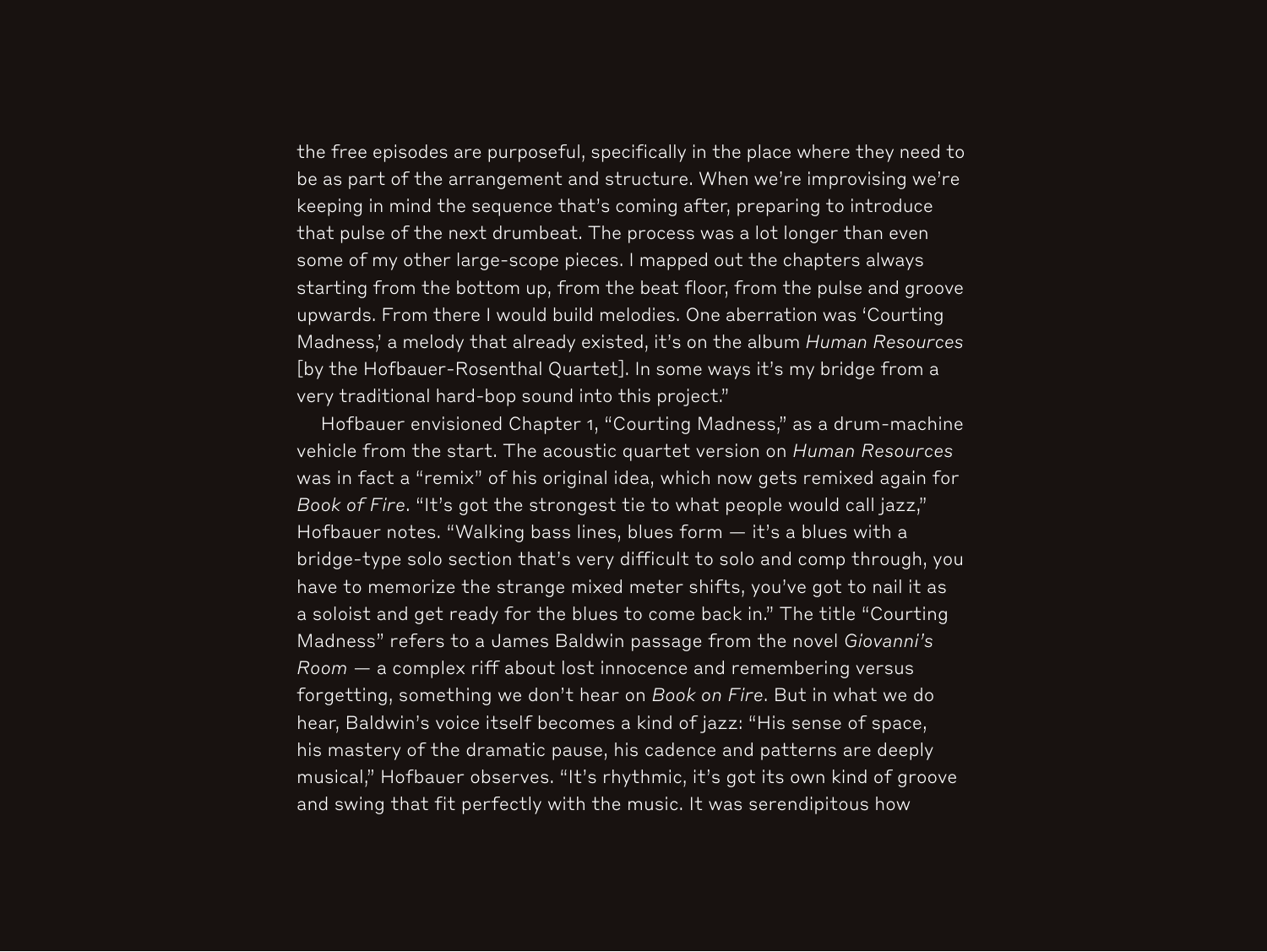the free episodes are purposeful, specifically in the place where they need to be as part of the arrangement and structure. When we're improvising we're keeping in mind the sequence that's coming after, preparing to introduce that pulse of the next drumbeat. The process was a lot longer than even some of my other large-scope pieces. I mapped out the chapters always starting from the bottom up, from the beat floor, from the pulse and groove upwards. From there I would build melodies. One aberration was 'Courting Madness,' a melody that already existed, it's on the album *Human Resources* [by the Hofbauer-Rosenthal Quartet]. In some ways it's my bridge from a very traditional hard-bop sound into this project."

Hofbauer envisioned Chapter 1, "Courting Madness," as a drum-machine vehicle from the start. The acoustic quartet version on *Human Resources* was in fact a "remix" of his original idea, which now gets remixed again for *Book of Fire*. "It's got the strongest tie to what people would call jazz," Hofbauer notes. "Walking bass lines, blues form — it's a blues with a bridge-type solo section that's very difficult to solo and comp through, you have to memorize the strange mixed meter shifts, you've got to nail it as a soloist and get ready for the blues to come back in." The title "Courting Madness" refers to a James Baldwin passage from the novel *Giovanni's Room* — a complex riff about lost innocence and remembering versus forgetting, something we don't hear on *Book on Fire*. But in what we do hear, Baldwin's voice itself becomes a kind of jazz: "His sense of space, his mastery of the dramatic pause, his cadence and patterns are deeply musical," Hofbauer observes. "It's rhythmic, it's got its own kind of groove and swing that fit perfectly with the music. It was serendipitous how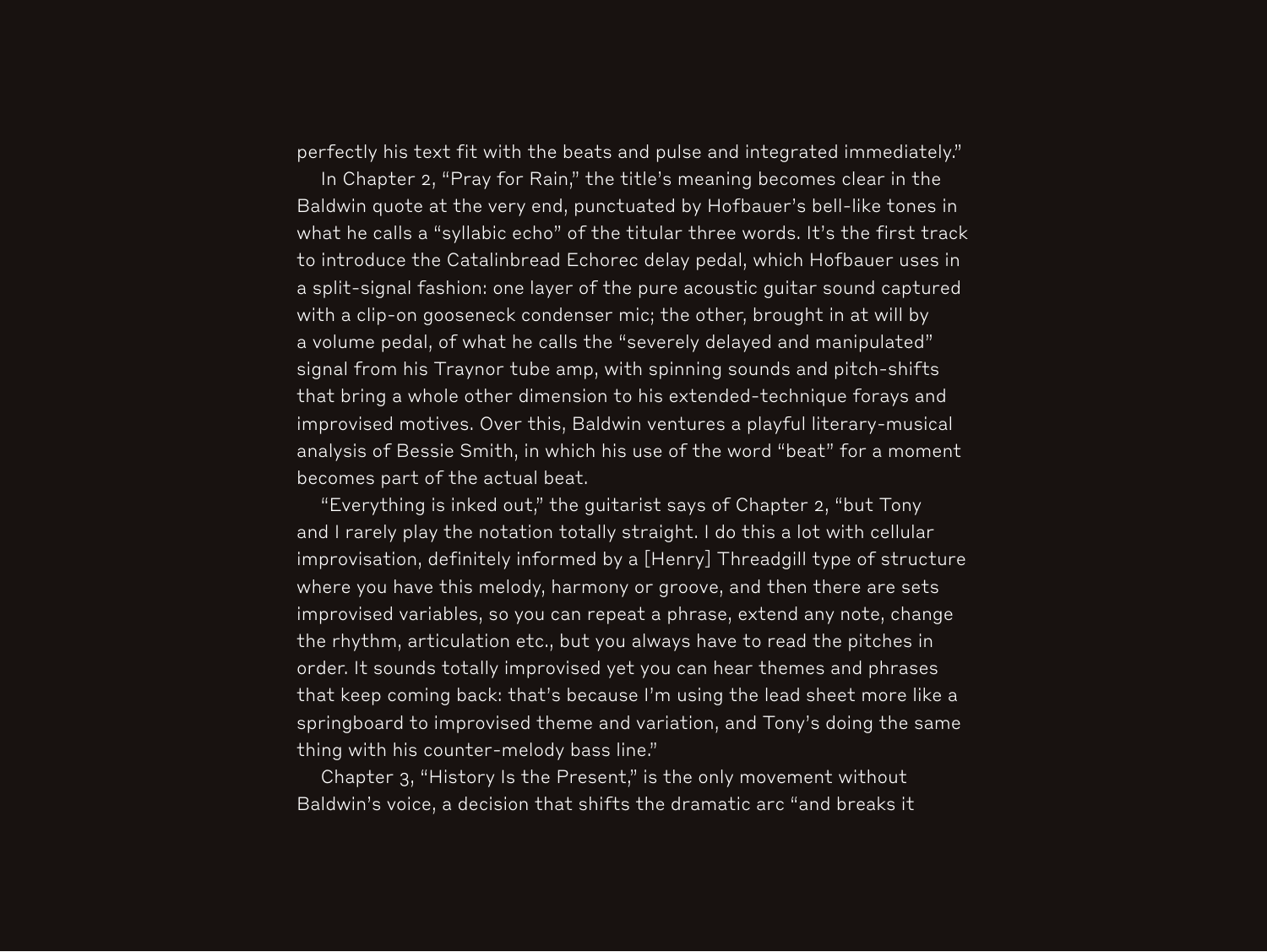perfectly his text fit with the beats and pulse and integrated immediately."

In Chapter 2, "Pray for Rain," the title's meaning becomes clear in the Baldwin quote at the very end, punctuated by Hofbauer's bell-like tones in what he calls a "syllabic echo" of the titular three words. It's the first track to introduce the Catalinbread Echorec delay pedal, which Hofbauer uses in a split-signal fashion: one layer of the pure acoustic guitar sound captured with a clip-on gooseneck condenser mic; the other, brought in at will by a volume pedal, of what he calls the "severely delayed and manipulated" signal from his Traynor tube amp, with spinning sounds and pitch-shifts that bring a whole other dimension to his extended-technique forays and improvised motives. Over this, Baldwin ventures a playful literary-musical analysis of Bessie Smith, in which his use of the word "beat" for a moment becomes part of the actual beat.

"Everything is inked out," the guitarist says of Chapter 2, "but Tony and I rarely play the notation totally straight. I do this a lot with cellular improvisation, definitely informed by a [Henry] Threadgill type of structure where you have this melody, harmony or groove, and then there are sets improvised variables, so you can repeat a phrase, extend any note, change the rhythm, articulation etc., but you always have to read the pitches in order. It sounds totally improvised yet you can hear themes and phrases that keep coming back: that's because I'm using the lead sheet more like a springboard to improvised theme and variation, and Tony's doing the same thing with his counter-melody bass line."

Chapter 3, "History Is the Present," is the only movement without Baldwin's voice, a decision that shifts the dramatic arc "and breaks it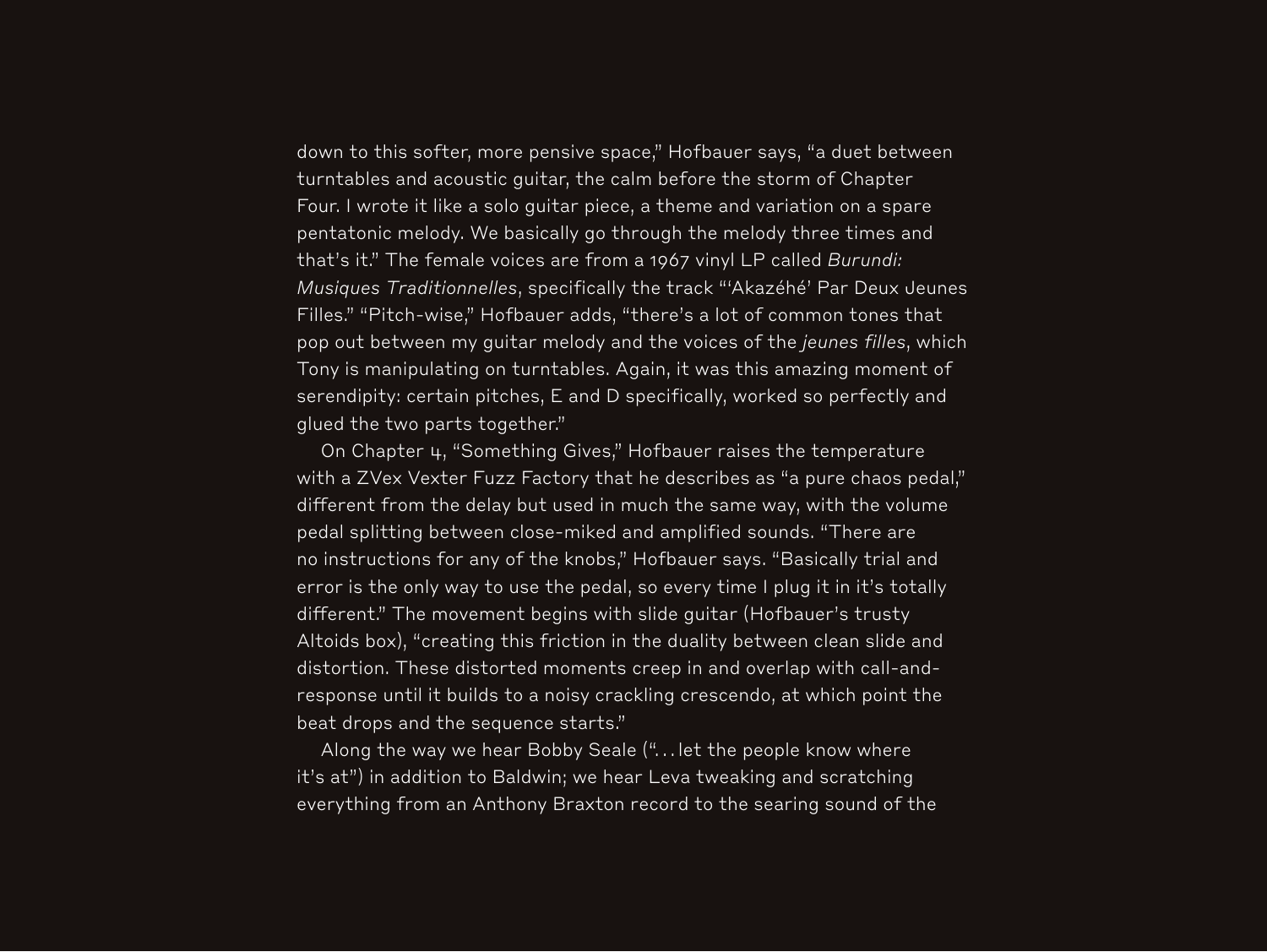down to this softer, more pensive space," Hofbauer says, "a duet between turntables and acoustic guitar, the calm before the storm of Chapter Four. I wrote it like a solo guitar piece, a theme and variation on a spare pentatonic melody. We basically go through the melody three times and that's it." The female voices are from a 1967 vinyl LP called *Burundi: Musiques Traditionnelles*, specifically the track "'Akazéhé' Par Deux Jeunes Filles." "Pitch-wise," Hofbauer adds, "there's a lot of common tones that pop out between my guitar melody and the voices of the *jeunes filles*, which Tony is manipulating on turntables. Again, it was this amazing moment of serendipity: certain pitches, E and D specifically, worked so perfectly and glued the two parts together."

On Chapter 4, "Something Gives," Hofbauer raises the temperature with a ZVex Vexter Fuzz Factory that he describes as "a pure chaos pedal," different from the delay but used in much the same way, with the volume pedal splitting between close-miked and amplified sounds. "There are no instructions for any of the knobs," Hofbauer says. "Basically trial and error is the only way to use the pedal, so every time I plug it in it's totally different." The movement begins with slide guitar (Hofbauer's trusty Altoids box), "creating this friction in the duality between clean slide and distortion. These distorted moments creep in and overlap with call-andresponse until it builds to a noisy crackling crescendo, at which point the beat drops and the sequence starts."

Along the way we hear Bobby Seale (". . . let the people know where it's at") in addition to Baldwin; we hear Leva tweaking and scratching everything from an Anthony Braxton record to the searing sound of the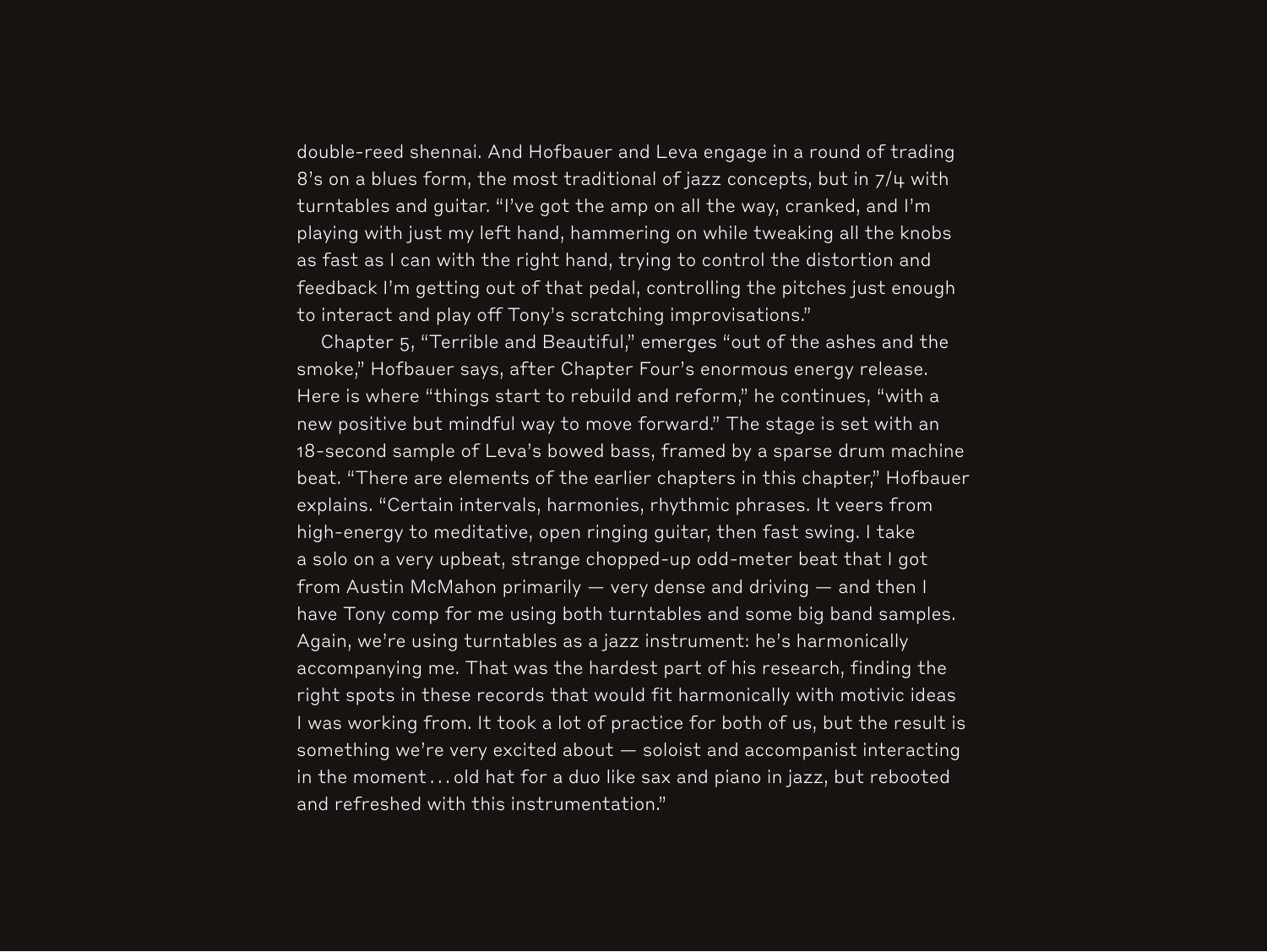double-reed shennai. And Hofbauer and Leva engage in a round of trading 8's on a blues form, the most traditional of jazz concepts, but in 7/4 with turntables and guitar. "I've got the amp on all the way, cranked, and I'm playing with just my left hand, hammering on while tweaking all the knobs as fast as I can with the right hand, trying to control the distortion and feedback I'm getting out of that pedal, controlling the pitches just enough to interact and play off Tony's scratching improvisations."

Chapter 5, "Terrible and Beautiful," emerges "out of the ashes and the smoke," Hofbauer says, after Chapter Four's enormous energy release. Here is where "things start to rebuild and reform," he continues, "with a new positive but mindful way to move forward." The stage is set with an 18-second sample of Leva's bowed bass, framed by a sparse drum machine beat. "There are elements of the earlier chapters in this chapter," Hofbauer explains. "Certain intervals, harmonies, rhythmic phrases. It veers from high-energy to meditative, open ringing guitar, then fast swing. I take a solo on a very upbeat, strange chopped-up odd-meter beat that I got from Austin McMahon primarily — very dense and driving — and then I have Tony comp for me using both turntables and some big band samples. Again, we're using turntables as a jazz instrument: he's harmonically accompanying me. That was the hardest part of his research, finding the right spots in these records that would fit harmonically with motivic ideas I was working from. It took a lot of practice for both of us, but the result is something we're very excited about — soloist and accompanist interacting in the moment . . . old hat for a duo like sax and piano in jazz, but rebooted and refreshed with this instrumentation."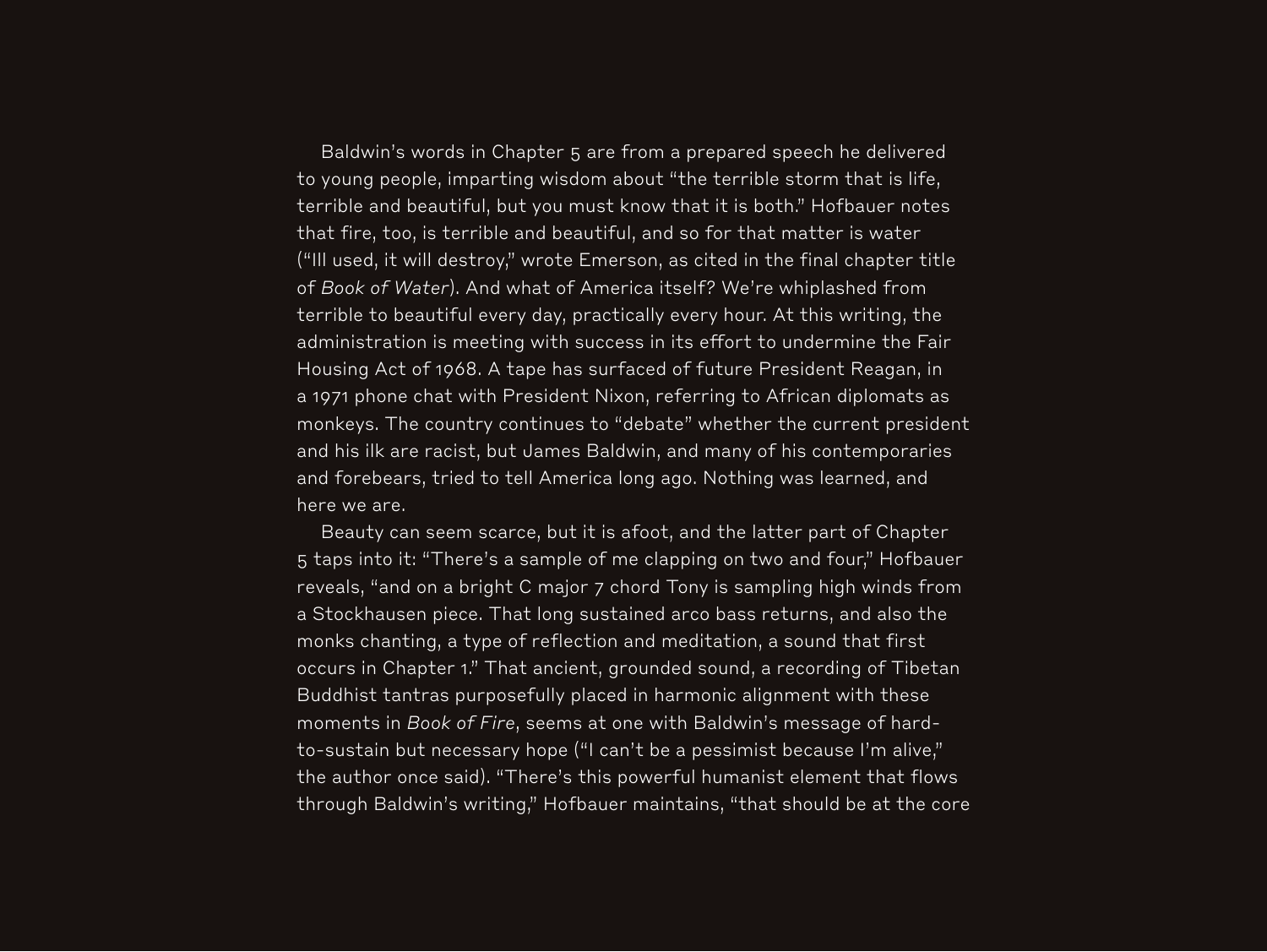Baldwin's words in Chapter 5 are from a prepared speech he delivered to young people, imparting wisdom about "the terrible storm that is life, terrible and beautiful, but you must know that it is both." Hofbauer notes that fire, too, is terrible and beautiful, and so for that matter is water ("Ill used, it will destroy," wrote Emerson, as cited in the final chapter title of *Book of Water*). And what of America itself? We're whiplashed from terrible to beautiful every day, practically every hour. At this writing, the administration is meeting with success in its effort to undermine the Fair Housing Act of 1968. A tape has surfaced of future President Reagan, in a 1971 phone chat with President Nixon, referring to African diplomats as monkeys. The country continues to "debate" whether the current president and his ilk are racist, but James Baldwin, and many of his contemporaries and forebears, tried to tell America long ago. Nothing was learned, and here we are.

Beauty can seem scarce, but it is afoot, and the latter part of Chapter 5 taps into it: "There's a sample of me clapping on two and four," Hofbauer reveals, "and on a bright C major 7 chord Tony is sampling high winds from a Stockhausen piece. That long sustained arco bass returns, and also the monks chanting, a type of reflection and meditation, a sound that first occurs in Chapter 1." That ancient, grounded sound, a recording of Tibetan Buddhist tantras purposefully placed in harmonic alignment with these moments in *Book of Fire*, seems at one with Baldwin's message of hardto-sustain but necessary hope ("I can't be a pessimist because I'm alive," the author once said). "There's this powerful humanist element that flows through Baldwin's writing," Hofbauer maintains, "that should be at the core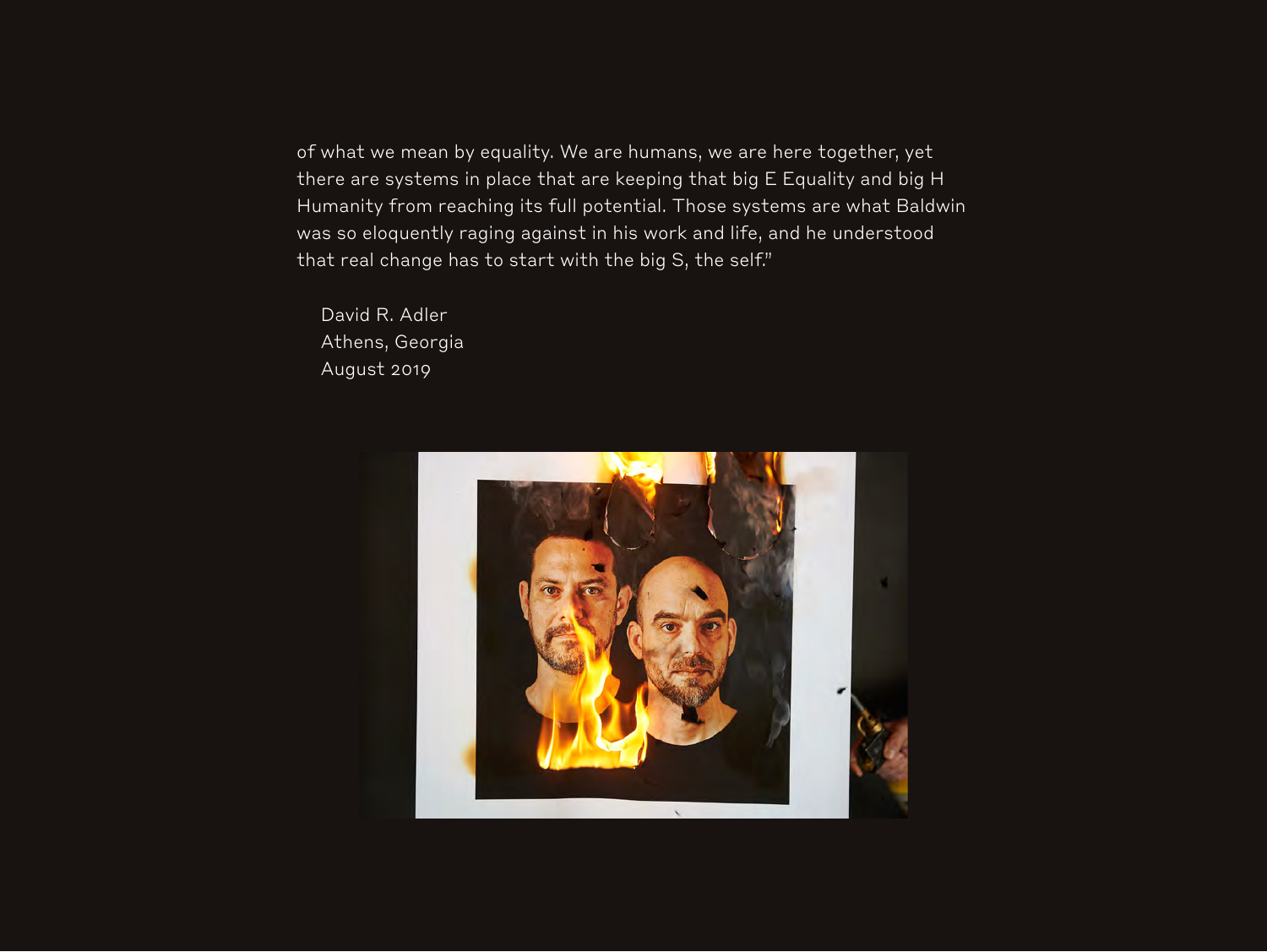of what we mean by equality. We are humans, we are here together, yet there are systems in place that are keeping that big E Equality and big H Humanity from reaching its full potential. Those systems are what Baldwin was so eloquently raging against in his work and life, and he understood that real change has to start with the big S, the self."

David R. Adler Athens, Georgia August 2019